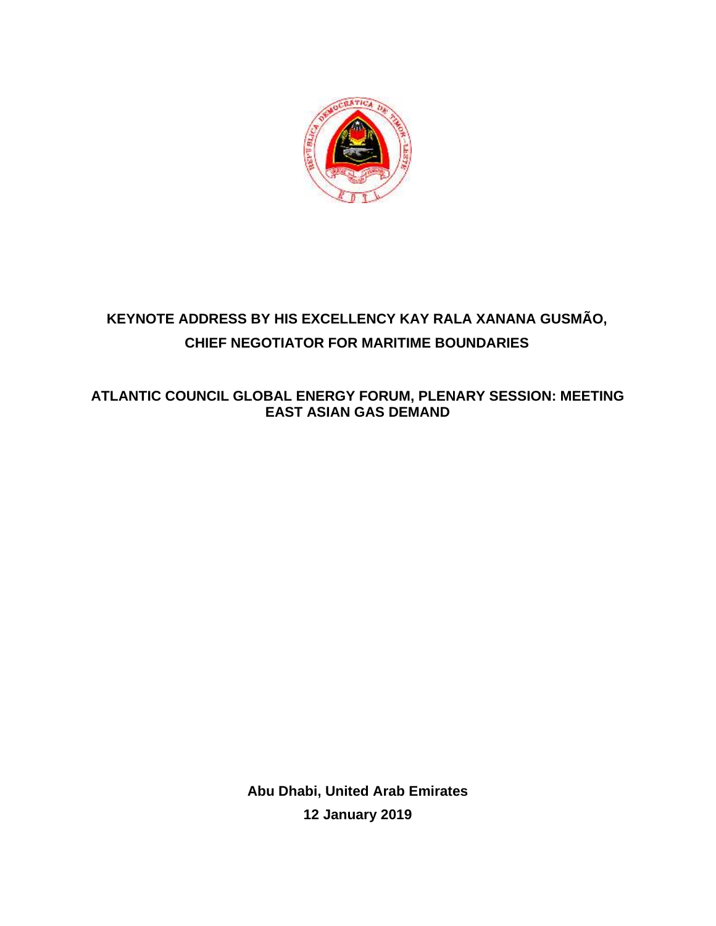

## **KEYNOTE ADDRESS BY HIS EXCELLENCY KAY RALA XANANA GUSMÃO, CHIEF NEGOTIATOR FOR MARITIME BOUNDARIES**

## **ATLANTIC COUNCIL GLOBAL ENERGY FORUM, PLENARY SESSION: MEETING EAST ASIAN GAS DEMAND**

**Abu Dhabi, United Arab Emirates 12 January 2019**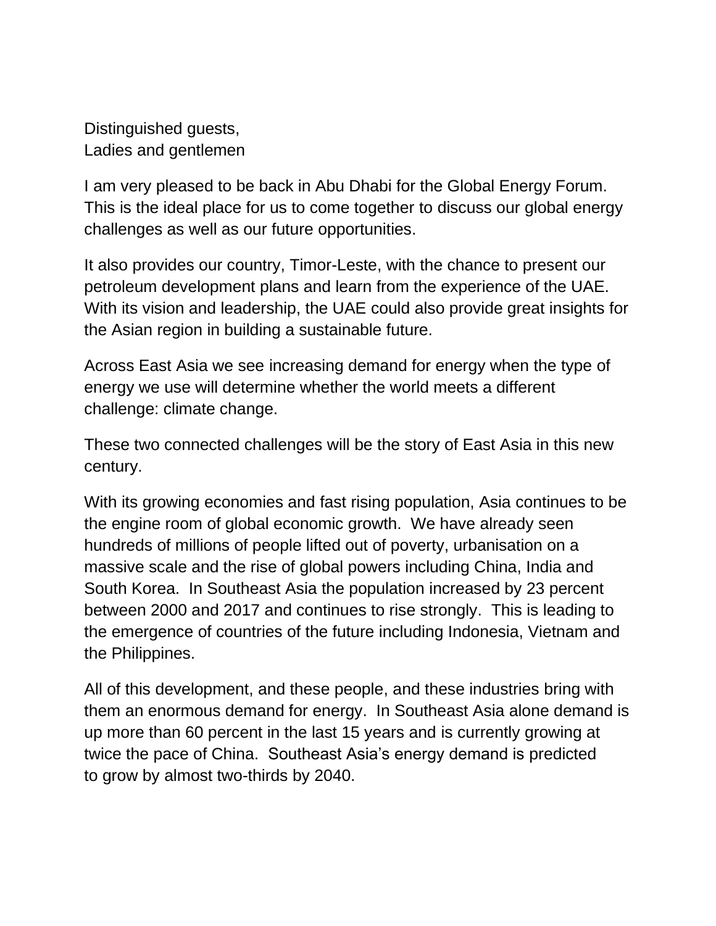Distinguished guests, Ladies and gentlemen

I am very pleased to be back in Abu Dhabi for the Global Energy Forum. This is the ideal place for us to come together to discuss our global energy challenges as well as our future opportunities.

It also provides our country, Timor-Leste, with the chance to present our petroleum development plans and learn from the experience of the UAE. With its vision and leadership, the UAE could also provide great insights for the Asian region in building a sustainable future.

Across East Asia we see increasing demand for energy when the type of energy we use will determine whether the world meets a different challenge: climate change.

These two connected challenges will be the story of East Asia in this new century.

With its growing economies and fast rising population, Asia continues to be the engine room of global economic growth. We have already seen hundreds of millions of people lifted out of poverty, urbanisation on a massive scale and the rise of global powers including China, India and South Korea. In Southeast Asia the population [increased](https://www.enerdata.net/publications/executive-briefing/south-asia-booming-energy-use.html) by 23 percent between 2000 and 2017 and continues to rise strongly. This is leading to the emergence of countries of the future including Indonesia, Vietnam and the Philippines.

All of this development, and these people, and these industries bring with them an enormous demand for energy. In Southeast Asia alone demand is up more than 60 percent in the last 15 years and is currently growing at twice the pace of China. Southeast Asia's energy demand is predicted to [grow](https://www.eco-business.com/news/why-2018-will-be-a-record-year-for-carbon-emissionsand-what-to-do-about-it/) by almost two-thirds by 2040.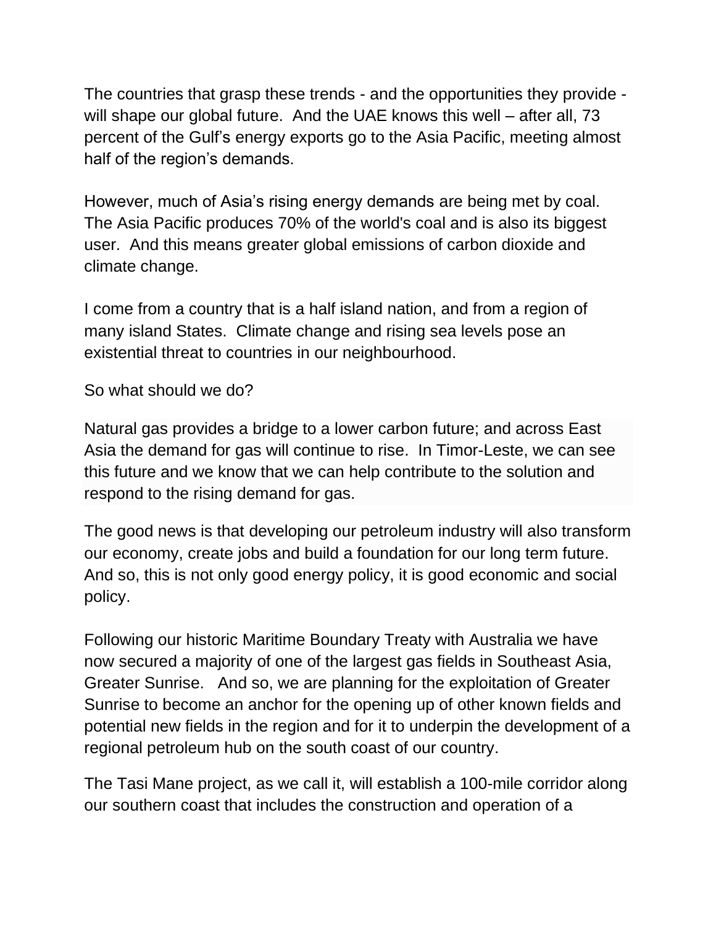The countries that grasp these trends - and the opportunities they provide will shape our global future. And the UAE knows this well – after all, 73 percent of the Gulf's energy exports go to the Asia Pacific, meeting almost half of the region's demands.

However, much of Asia's rising energy demands are being met by coal. The Asia Pacific produces 70% of the world's coal and is also its biggest user. And this means greater global emissions of carbon dioxide and climate change.

I come from a country that is a half island nation, and from a region of many island States. Climate change and rising sea levels pose an existential threat to countries in our neighbourhood.

So what should we do?

Natural gas provides a bridge to a lower carbon future; and across East Asia the demand for gas will continue to rise. In Timor-Leste, we can see this future and we know that we can help contribute to the solution and respond to the rising demand for gas.

The good news is that developing our petroleum industry will also transform our economy, create jobs and build a foundation for our long term future. And so, this is not only good energy policy, it is good economic and social policy.

Following our historic Maritime Boundary Treaty with Australia we have now secured a majority of one of the largest gas fields in Southeast Asia, Greater Sunrise. And so, we are planning for the exploitation of Greater Sunrise to become an anchor for the opening up of other known fields and potential new fields in the region and for it to underpin the development of a regional petroleum hub on the south coast of our country.

The Tasi Mane project, as we call it, will establish a 100-mile corridor along our southern coast that includes the construction and operation of a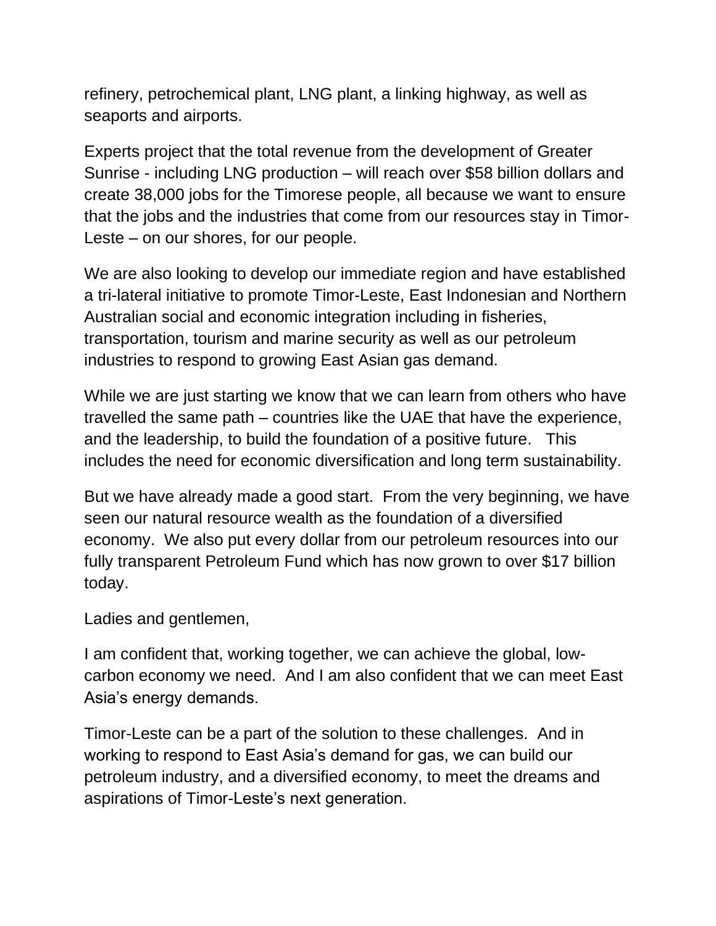refinery, petrochemical plant, LNG plant, a linking highway, as well as seaports and airports.

Experts project that the total revenue from the development of Greater Sunrise - including LNG production – will reach over \$58 billion dollars and create 38,000 jobs for the Timorese people, all because we want to ensure that the jobs and the industries that come from our resources stay in Timor-Leste – on our shores, for our people.

We are also looking to develop our immediate region and have established a tri-lateral initiative to promote Timor-Leste, East Indonesian and Northern Australian social and economic integration including in fisheries, transportation, tourism and marine security as well as our petroleum industries to respond to growing East Asian gas demand.

While we are just starting we know that we can learn from others who have travelled the same path – countries like the UAE that have the experience, and the leadership, to build the foundation of a positive future. This includes the need for economic diversification and long term sustainability.

But we have already made a good start. From the very beginning, we have seen our natural resource wealth as the foundation of a diversified economy. We also put every dollar from our petroleum resources into our fully transparent Petroleum Fund which has now grown to over \$17 billion today.

Ladies and gentlemen,

I am confident that, working together, we can achieve the global, lowcarbon economy we need. And I am also confident that we can meet East Asia's energy demands.

Timor-Leste can be a part of the solution to these challenges. And in working to respond to East Asia's demand for gas, we can build our petroleum industry, and a diversified economy, to meet the dreams and aspirations of Timor-Leste's next generation.